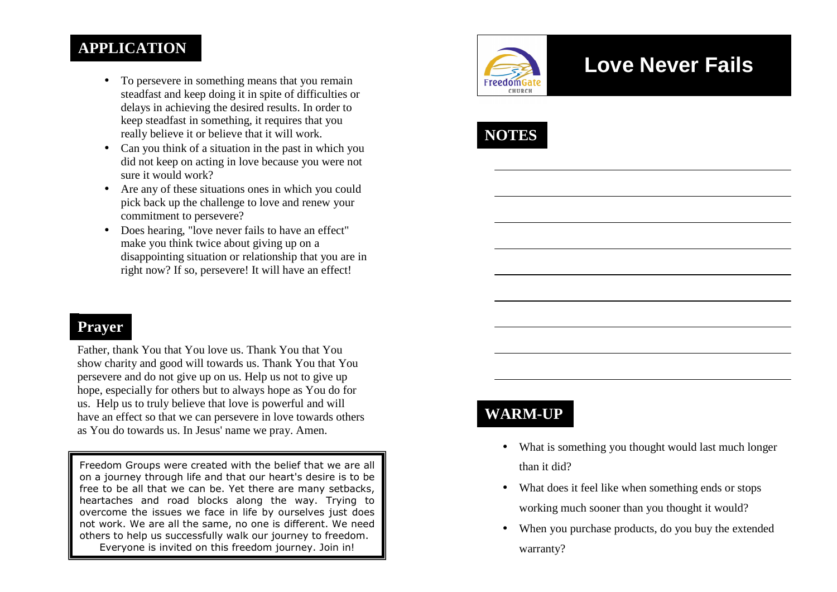### **APPLICATION**

- To persevere in something means that you remain steadfast and keep doing it in spite of difficulties or delays in achieving the desired results. In order to keep steadfast in something, it requires that you really believe it or believe that it will work.
- Can you think of a situation in the past in which you did not keep on acting in love because you were notsure it would work?
- Are any of these situations ones in which you could pick back up the challenge to love and renew your commitment to persevere?
- Does hearing, "love never fails to have an effect" make you think twice about giving up on a disappointing situation or relationship that you are in right now? If so, persevere! It will have an effect!

#### **Prayer**

Father, thank You that You love us. Thank You that You show charity and good will towards us. Thank You that You persevere and do not give up on us. Help us not to give up hope, especially for others but to always hope as You do for us. Help us to truly believe that love is powerful and will have an effect so that we can persevere in love towards others as You do towards us. In Jesus' name we pray. Amen.

Freedom Groups were created with the belief that we are all on a journey through life and that our heart's desire is to be free to be all that we can be. Yet there are many setbacks, heartaches and road blocks along the way. Trying to overcome the issues we face in life by ourselves just does not work. We are all the same, no one is different. We need others to help us successfully walk our journey to freedom. Everyone is invited on this freedom journey. Join in!



# **Love Never Fails**



## **WARM-UP**

- What is something you thought would last much longer than it did?
- What does it feel like when something ends or stops working much sooner than you thought it would?
- When you purchase products, do you buy the extendedwarranty?